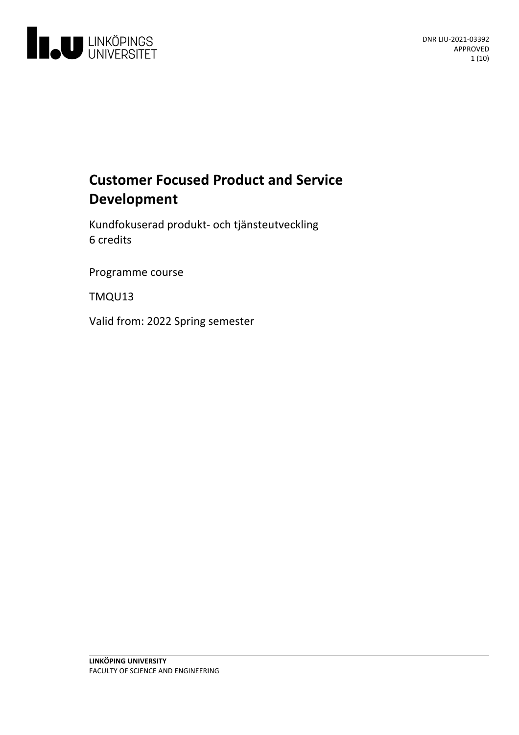

# **Customer Focused Product and Service Development**

Kundfokuserad produkt- och tjänsteutveckling 6 credits

Programme course

TMQU13

Valid from: 2022 Spring semester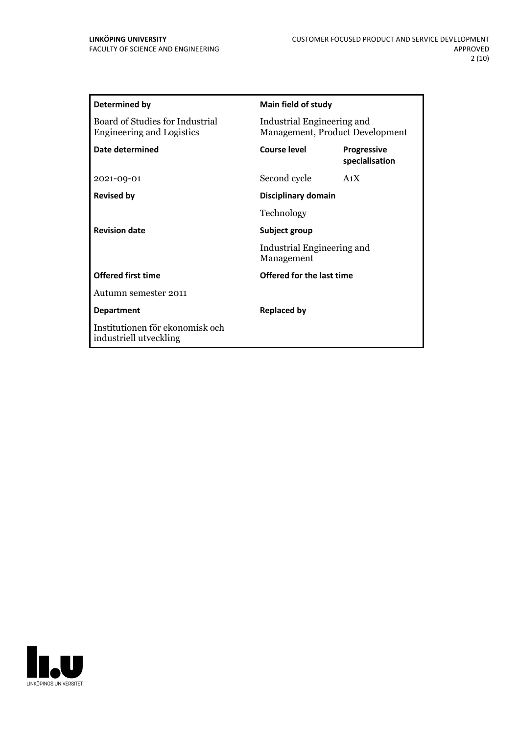| Main field of study                                           |                                      |
|---------------------------------------------------------------|--------------------------------------|
| Industrial Engineering and<br>Management, Product Development |                                      |
| <b>Course level</b>                                           | <b>Progressive</b><br>specialisation |
| Second cycle                                                  | A <sub>1</sub> X                     |
| Disciplinary domain                                           |                                      |
| Technology                                                    |                                      |
| Subject group                                                 |                                      |
| Management                                                    |                                      |
| Offered for the last time                                     |                                      |
|                                                               |                                      |
| <b>Replaced by</b>                                            |                                      |
|                                                               |                                      |
|                                                               | Industrial Engineering and           |

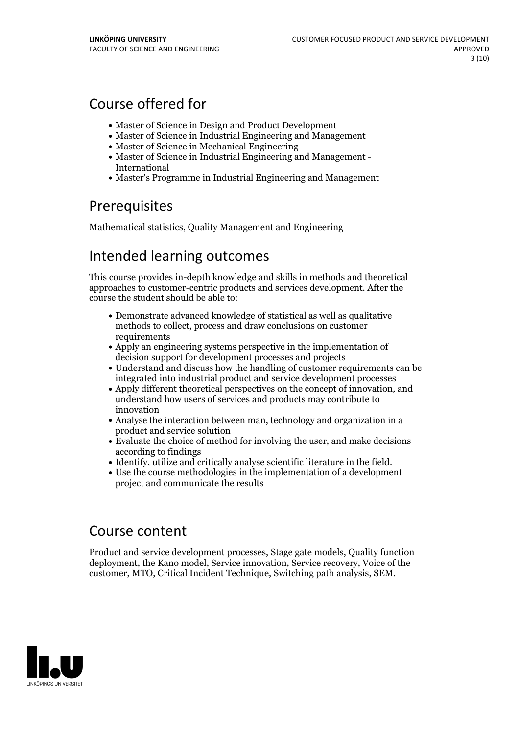## Course offered for

- Master of Science in Design and Product Development
- Master of Science in Industrial Engineering and Management
- Master of Science in Mechanical Engineering
- Master of Science in Industrial Engineering and Management International
- Master's Programme in Industrial Engineering and Management

## **Prerequisites**

Mathematical statistics, Quality Management and Engineering

## Intended learning outcomes

This course provides in-depth knowledge and skills in methods and theoretical approaches to customer-centric products and services development. After the course the student should be able to:

- Demonstrate advanced knowledge of statistical as well as qualitative methods to collect, process and draw conclusions on customer requirements
- Apply an engineering systems perspective in the implementation of decision support for development processes and projects
- Understand and discuss how the handling of customer requirements can be integrated into industrial product and service development processes
- Apply different theoretical perspectives on the concept of innovation, and understand how users of services and products may contribute to innovation
- Analyse the interaction between man, technology and organization in a product and service solution
- Evaluate the choice of method for involving the user, and make decisions according to findings
- 
- Identify, utilize and critically analyse scientific literature in the field. Use the course methodologies in the implementation of <sup>a</sup> development project and communicate the results

## Course content

Product and service development processes, Stage gate models, Quality function deployment, the Kano model, Service innovation, Service recovery, Voice of the customer, MTO, Critical Incident Technique, Switching path analysis, SEM.

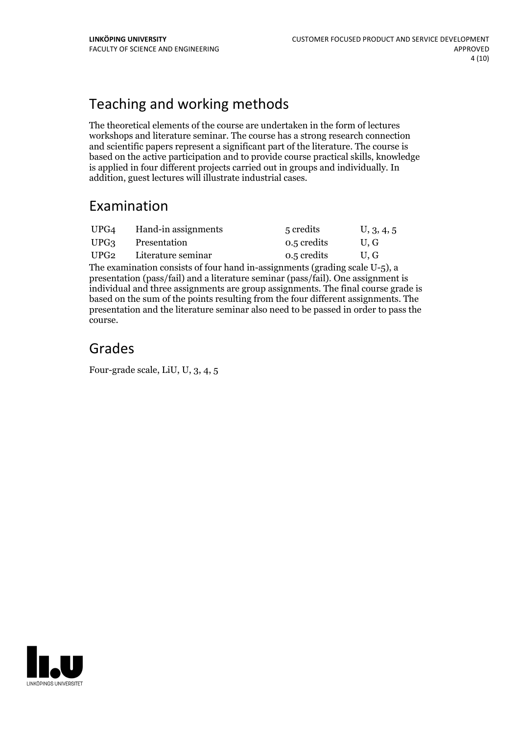## Teaching and working methods

The theoretical elements of the course are undertaken in the form of lectures workshops and literature seminar. The course has a strong research connection and scientific papers represent a significant part of the literature. The course is based on the active participation and to provide course practical skills, knowledge is applied in four different projects carried out in groups and individually. In addition, guest lectures will illustrate industrial cases.

## Examination

| UPG4 | Hand-in assignments | 5 credits   | U, 3, 4, 5 |
|------|---------------------|-------------|------------|
| UPG3 | Presentation        | 0.5 credits | U.G        |
| UPG2 | Literature seminar  | 0.5 credits | U.G        |

The examination consists of four hand in-assignments (grading scale U-5), a presentation (pass/fail) and a literature seminar (pass/fail). One assignment is individual and three assignments are group assignments. The final course grade is based on the sum of the points resulting from the four different assignments. The presentation and the literature seminar also need to be passed in order to pass the course.

## Grades

Four-grade scale, LiU, U, 3, 4, 5

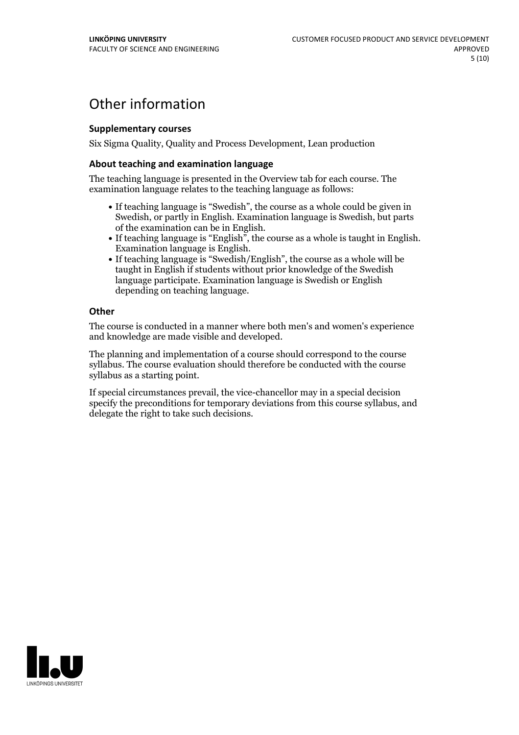## Other information

### **Supplementarycourses**

Six Sigma Quality, Quality and Process Development, Lean production

### **About teaching and examination language**

The teaching language is presented in the Overview tab for each course. The examination language relates to the teaching language as follows:

- If teaching language is "Swedish", the course as a whole could be given in Swedish, or partly in English. Examination language is Swedish, but parts
- of the examination can be in English. If teaching language is "English", the course as <sup>a</sup> whole is taught in English. Examination language is English. If teaching language is "Swedish/English", the course as <sup>a</sup> whole will be
- taught in English if students without prior knowledge of the Swedish language participate. Examination language is Swedish or English depending on teaching language.

#### **Other**

The course is conducted in a manner where both men's and women's experience and knowledge are made visible and developed.

The planning and implementation of a course should correspond to the course syllabus. The course evaluation should therefore be conducted with the course syllabus as a starting point.

If special circumstances prevail, the vice-chancellor may in a special decision specify the preconditions for temporary deviations from this course syllabus, and delegate the right to take such decisions.

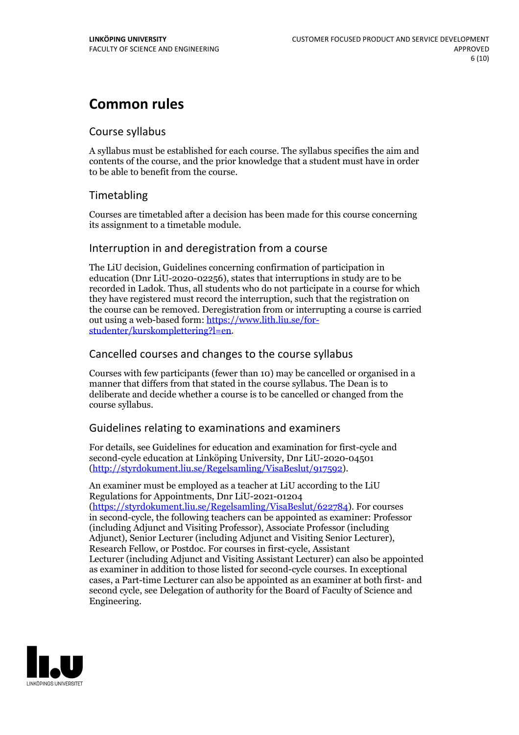## **Common rules**

### Course syllabus

A syllabus must be established for each course. The syllabus specifies the aim and contents of the course, and the prior knowledge that a student must have in order to be able to benefit from the course.

## Timetabling

Courses are timetabled after a decision has been made for this course concerning its assignment to a timetable module.

### Interruption in and deregistration from a course

The LiU decision, Guidelines concerning confirmation of participation in education (Dnr LiU-2020-02256), states that interruptions in study are to be recorded in Ladok. Thus, all students who do not participate in a course for which they have registered must record the interruption, such that the registration on the course can be removed. Deregistration from or interrupting a course is carried out using <sup>a</sup> web-based form: https://www.lith.liu.se/for- [studenter/kurskomplettering?l=en.](https://www.lith.liu.se/for-studenter/kurskomplettering?l=en)

## Cancelled coursesand changes to the course syllabus

Courses with few participants (fewer than 10) may be cancelled or organised in a manner that differs from that stated in the course syllabus. The Dean is to deliberate and decide whether a course is to be cancelled or changed from the course syllabus.

## Guidelines relating to examinations and examiners

For details, see Guidelines for education and examination for first-cycle and second-cycle education at Linköping University, Dnr LiU-2020-04501 [\(http://styrdokument.liu.se/Regelsamling/VisaBeslut/917592\)](http://styrdokument.liu.se/Regelsamling/VisaBeslut/917592).

An examiner must be employed as a teacher at LiU according to the LiU Regulations for Appointments, Dnr LiU-2021-01204 [\(https://styrdokument.liu.se/Regelsamling/VisaBeslut/622784](https://styrdokument.liu.se/Regelsamling/VisaBeslut/622784)). For courses in second-cycle, the following teachers can be appointed as examiner: Professor (including Adjunct and Visiting Professor), Associate Professor (including Adjunct), Senior Lecturer (including Adjunct and Visiting Senior Lecturer), Research Fellow, or Postdoc. For courses in first-cycle, Assistant Lecturer (including Adjunct and Visiting Assistant Lecturer) can also be appointed as examiner in addition to those listed for second-cycle courses. In exceptional cases, a Part-time Lecturer can also be appointed as an examiner at both first- and second cycle, see Delegation of authority for the Board of Faculty of Science and Engineering.

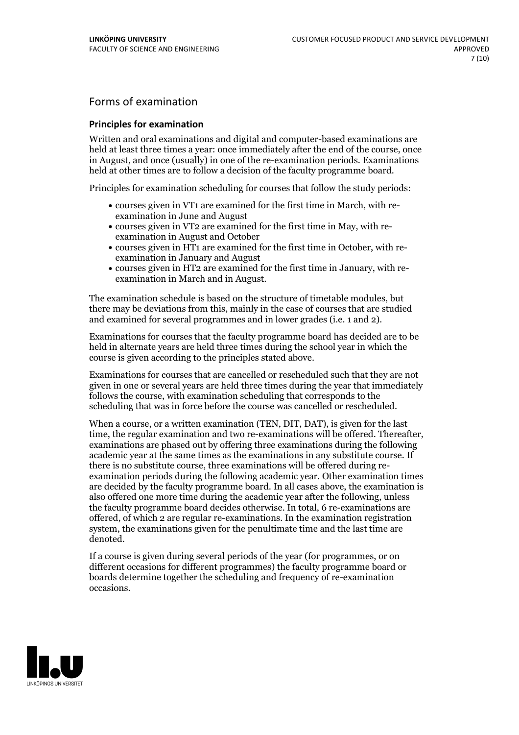## Forms of examination

### **Principles for examination**

Written and oral examinations and digital and computer-based examinations are held at least three times a year: once immediately after the end of the course, once in August, and once (usually) in one of the re-examination periods. Examinations held at other times are to follow a decision of the faculty programme board.

Principles for examination scheduling for courses that follow the study periods:

- courses given in VT1 are examined for the first time in March, with re-examination in June and August
- courses given in VT2 are examined for the first time in May, with re-examination in August and October
- courses given in HT1 are examined for the first time in October, with re-examination in January and August
- courses given in HT2 are examined for the first time in January, with re-examination in March and in August.

The examination schedule is based on the structure of timetable modules, but there may be deviations from this, mainly in the case of courses that are studied and examined for several programmes and in lower grades (i.e. 1 and 2).

Examinations for courses that the faculty programme board has decided are to be held in alternate years are held three times during the school year in which the course is given according to the principles stated above.

Examinations for courses that are cancelled orrescheduled such that they are not given in one or several years are held three times during the year that immediately follows the course, with examination scheduling that corresponds to the scheduling that was in force before the course was cancelled or rescheduled.

When a course, or a written examination (TEN, DIT, DAT), is given for the last time, the regular examination and two re-examinations will be offered. Thereafter, examinations are phased out by offering three examinations during the following academic year at the same times as the examinations in any substitute course. If there is no substitute course, three examinations will be offered during re- examination periods during the following academic year. Other examination times are decided by the faculty programme board. In all cases above, the examination is also offered one more time during the academic year after the following, unless the faculty programme board decides otherwise. In total, 6 re-examinations are offered, of which 2 are regular re-examinations. In the examination registration system, the examinations given for the penultimate time and the last time are denoted.

If a course is given during several periods of the year (for programmes, or on different occasions for different programmes) the faculty programme board or boards determine together the scheduling and frequency of re-examination occasions.

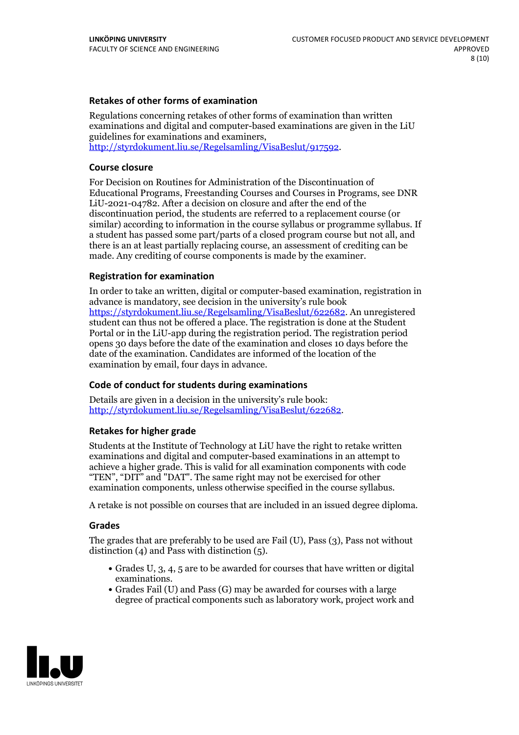### **Retakes of other forms of examination**

Regulations concerning retakes of other forms of examination than written examinations and digital and computer-based examinations are given in the LiU guidelines for examinations and examiners, [http://styrdokument.liu.se/Regelsamling/VisaBeslut/917592.](http://styrdokument.liu.se/Regelsamling/VisaBeslut/917592)

#### **Course closure**

For Decision on Routines for Administration of the Discontinuation of Educational Programs, Freestanding Courses and Courses in Programs, see DNR LiU-2021-04782. After a decision on closure and after the end of the discontinuation period, the students are referred to a replacement course (or similar) according to information in the course syllabus or programme syllabus. If a student has passed some part/parts of a closed program course but not all, and there is an at least partially replacing course, an assessment of crediting can be made. Any crediting of course components is made by the examiner.

#### **Registration for examination**

In order to take an written, digital or computer-based examination, registration in advance is mandatory, see decision in the university's rule book [https://styrdokument.liu.se/Regelsamling/VisaBeslut/622682.](https://styrdokument.liu.se/Regelsamling/VisaBeslut/622682) An unregistered student can thus not be offered a place. The registration is done at the Student Portal or in the LiU-app during the registration period. The registration period opens 30 days before the date of the examination and closes 10 days before the date of the examination. Candidates are informed of the location of the examination by email, four days in advance.

#### **Code of conduct for students during examinations**

Details are given in a decision in the university's rule book: <http://styrdokument.liu.se/Regelsamling/VisaBeslut/622682>.

#### **Retakes for higher grade**

Students at the Institute of Technology at LiU have the right to retake written examinations and digital and computer-based examinations in an attempt to achieve a higher grade. This is valid for all examination components with code "TEN", "DIT" and "DAT". The same right may not be exercised for other examination components, unless otherwise specified in the course syllabus.

A retake is not possible on courses that are included in an issued degree diploma.

#### **Grades**

The grades that are preferably to be used are Fail (U), Pass (3), Pass not without distinction  $(4)$  and Pass with distinction  $(5)$ .

- Grades U, 3, 4, 5 are to be awarded for courses that have written or digital examinations.<br>• Grades Fail (U) and Pass (G) may be awarded for courses with a large
- degree of practical components such as laboratory work, project work and

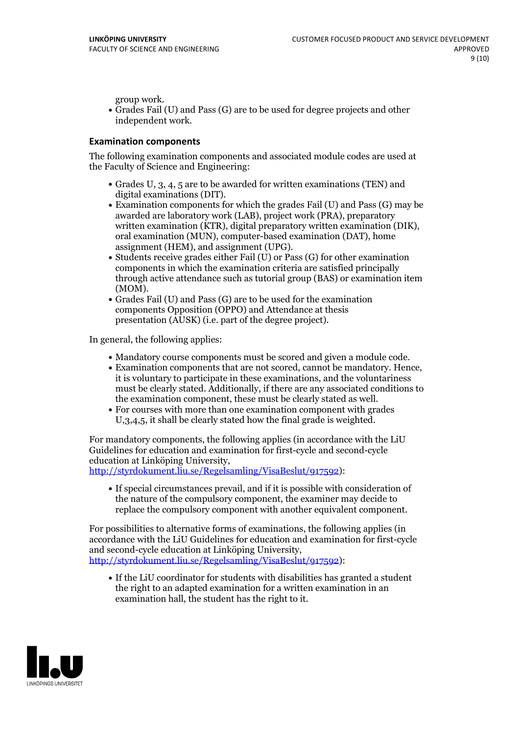group work.<br>• Grades Fail (U) and Pass (G) are to be used for degree projects and other independent work.

### **Examination components**

The following examination components and associated module codes are used at the Faculty of Science and Engineering:

- Grades U, 3, 4, 5 are to be awarded for written examinations (TEN) and
- digital examinations (DIT).<br>• Examination components for which the grades Fail (U) and Pass (G) may be awarded are laboratory work (LAB), project work (PRA), preparatory written examination (KTR), digital preparatory written examination (DIK), oral examination (MUN), computer-based examination (DAT), home
- assignment (HEM), and assignment (UPG).<br>• Students receive grades either Fail (U) or Pass (G) for other examination components in which the examination criteria are satisfied principally through active attendance such as tutorial group (BAS) or examination item
- (MOM).<br>• Grades Fail (U) and Pass (G) are to be used for the examination components Opposition (OPPO) and Attendance at thesis presentation (AUSK) (i.e. part of the degree project).

In general, the following applies:

- 
- Mandatory course components must be scored and given <sup>a</sup> module code. Examination components that are not scored, cannot be mandatory. Hence, it is voluntary to participate in these examinations, and the voluntariness must be clearly stated. Additionally, if there are any associated conditions to
- the examination component, these must be clearly stated as well.<br>• For courses with more than one examination component with grades U,3,4,5, it shall be clearly stated how the final grade is weighted.

For mandatory components, the following applies (in accordance with the LiU Guidelines for education and examination for first-cycle and second-cycle

[http://styrdokument.liu.se/Regelsamling/VisaBeslut/917592\)](http://styrdokument.liu.se/Regelsamling/VisaBeslut/917592):

If special circumstances prevail, and if it is possible with consideration of the nature of the compulsory component, the examiner may decide to replace the compulsory component with another equivalent component.

For possibilities to alternative forms of examinations, the following applies (in accordance with the LiU Guidelines for education and examination for first-cycle [http://styrdokument.liu.se/Regelsamling/VisaBeslut/917592\)](http://styrdokument.liu.se/Regelsamling/VisaBeslut/917592):

If the LiU coordinator for students with disabilities has granted a student the right to an adapted examination for a written examination in an examination hall, the student has the right to it.